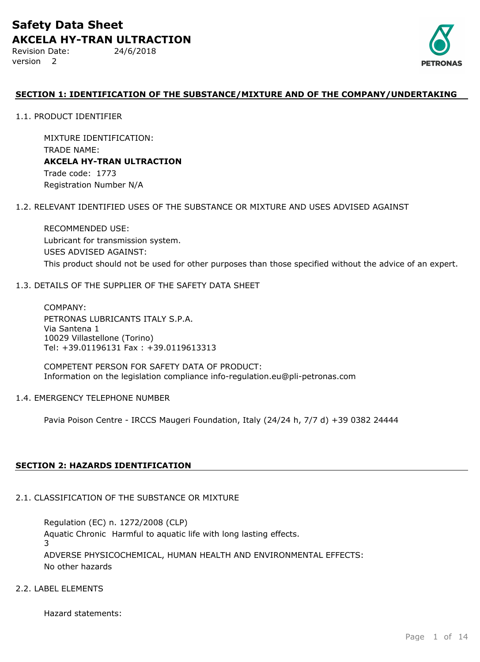Revision Date: 24/6/2018 version 2



## **SECTION 1: IDENTIFICATION OF THE SUBSTANCE/MIXTURE AND OF THE COMPANY/UNDERTAKING**

1.1. PRODUCT IDENTIFIER

MIXTURE IDENTIFICATION: TRADE NAME: **AKCELA HY-TRAN ULTRACTION** Trade code: 1773

Registration Number N/A

### 1.2. RELEVANT IDENTIFIED USES OF THE SUBSTANCE OR MIXTURE AND USES ADVISED AGAINST

RECOMMENDED USE: Lubricant for transmission system. USES ADVISED AGAINST: This product should not be used for other purposes than those specified without the advice of an expert.

## 1.3. DETAILS OF THE SUPPLIER OF THE SAFETY DATA SHEET

COMPANY: PETRONAS LUBRICANTS ITALY S.P.A. Via Santena 1 10029 Villastellone (Torino) Tel: +39.01196131 Fax : +39.0119613313

COMPETENT PERSON FOR SAFETY DATA OF PRODUCT: Information on the legislation compliance info-regulation.eu@pli-petronas.com

### 1.4. EMERGENCY TELEPHONE NUMBER

Pavia Poison Centre - IRCCS Maugeri Foundation, Italy (24/24 h, 7/7 d) +39 0382 24444

## **SECTION 2: HAZARDS IDENTIFICATION**

## 2.1. CLASSIFICATION OF THE SUBSTANCE OR MIXTURE

ADVERSE PHYSICOCHEMICAL, HUMAN HEALTH AND ENVIRONMENTAL EFFECTS: No other hazards Regulation (EC) n. 1272/2008 (CLP) Aquatic Chronic Harmful to aquatic life with long lasting effects. 3

## 2.2. LABEL ELEMENTS

Hazard statements: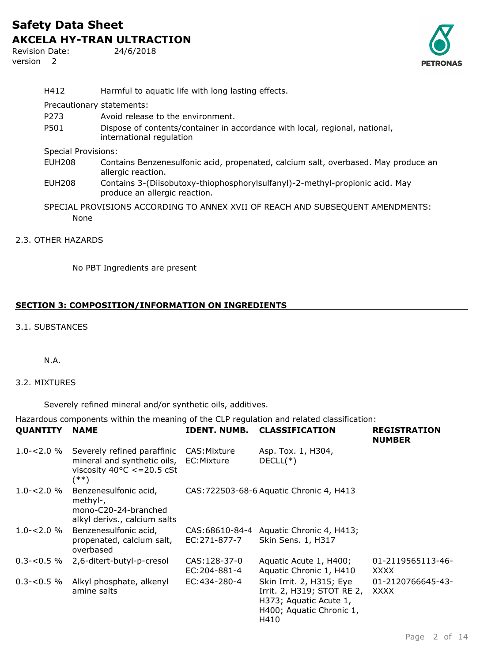Revision Date: 24/6/2018 version 2



| H412                                                                           | Harmful to aquatic life with long lasting effects.                                                            |  |
|--------------------------------------------------------------------------------|---------------------------------------------------------------------------------------------------------------|--|
| Precautionary statements:                                                      |                                                                                                               |  |
| P <sub>273</sub>                                                               | Avoid release to the environment.                                                                             |  |
| P501                                                                           | Dispose of contents/container in accordance with local, regional, national,<br>international regulation       |  |
| <b>Special Provisions:</b>                                                     |                                                                                                               |  |
| EUH208                                                                         | Contains Benzenesulfonic acid, propenated, calcium salt, overbased. May produce an<br>allergic reaction.      |  |
| <b>EUH208</b>                                                                  | Contains 3-(Diisobutoxy-thiophosphorylsulfanyl)-2-methyl-propionic acid. May<br>produce an allergic reaction. |  |
| SPECIAL PROVISIONS ACCORDING TO ANNEX XVII OF REACH AND SUBSEQUENT AMENDMENTS: |                                                                                                               |  |
| None                                                                           |                                                                                                               |  |
| 2.3. OTHER HAZARDS                                                             |                                                                                                               |  |

No PBT Ingredients are present

## **SECTION 3: COMPOSITION/INFORMATION ON INGREDIENTS**

## 3.1. SUBSTANCES

### N.A.

## 3.2. MIXTURES

Severely refined mineral and/or synthetic oils, additives.

Hazardous components within the meaning of the CLP regulation and related classification: **QUANTITY NAME IDENT. NUMB. CLASSIFICATION REGISTRATION**

| VUANILII NAME  |                                                                                                                        | IDENI. NUMD.                   | <u>ULABƏLFILMI IVN</u>                                                                                               | <b>NEVISINAIIVIV</b><br><b>NUMBER</b> |
|----------------|------------------------------------------------------------------------------------------------------------------------|--------------------------------|----------------------------------------------------------------------------------------------------------------------|---------------------------------------|
| $1.0 - 2.0 \%$ | Severely refined paraffinic<br>mineral and synthetic oils, EC: Mixture<br>viscosity $40^{\circ}$ C <= 20.5 cSt<br>(**) | CAS:Mixture                    | Asp. Tox. 1, H304,<br>$DECLL(*)$                                                                                     |                                       |
| $1.0 - 2.0 \%$ | Benzenesulfonic acid,<br>methyl-,<br>mono-C20-24-branched<br>alkyl derivs., calcium salts                              |                                | CAS: 722503-68-6 Aquatic Chronic 4, H413                                                                             |                                       |
| $1.0 - 2.0 \%$ | Benzenesulfonic acid,<br>propenated, calcium salt,<br>overbased                                                        | CAS:68610-84-4<br>EC:271-877-7 | Aquatic Chronic 4, H413;<br>Skin Sens. 1, H317                                                                       |                                       |
| $0.3 - 0.5 \%$ | 2,6-ditert-butyl-p-cresol                                                                                              | CAS: 128-37-0<br>EC:204-881-4  | Aquatic Acute 1, H400;<br>Aquatic Chronic 1, H410                                                                    | 01-2119565113-46-<br><b>XXXX</b>      |
| $0.3 - 0.5 \%$ | Alkyl phosphate, alkenyl<br>amine salts                                                                                | EC:434-280-4                   | Skin Irrit. 2, H315; Eye<br>Irrit. 2, H319; STOT RE 2,<br>H373; Aquatic Acute 1,<br>H400; Aquatic Chronic 1,<br>H410 | 01-2120766645-43-<br><b>XXXX</b>      |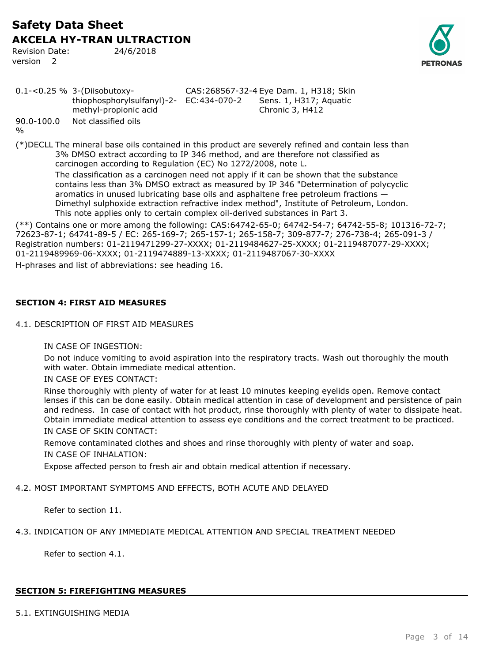Revision Date: 24/6/2018 version 2



|                                 | $0.1 - 0.25 \%$ 3-(Diisobutoxy-                                  | CAS: 268567-32-4 Eye Dam. 1, H318; Skin |                                           |  |
|---------------------------------|------------------------------------------------------------------|-----------------------------------------|-------------------------------------------|--|
|                                 | thiophosphorylsulfanyl)-2- EC:434-070-2<br>methyl-propionic acid |                                         | Sens. 1, H317; Aquatic<br>Chronic 3, H412 |  |
| $90.0 - 100.0$<br>$\frac{0}{0}$ | Not classified oils                                              |                                         |                                           |  |

(\*)DECLL The mineral base oils contained in this product are severely refined and contain less than 3% DMSO extract according to IP 346 method, and are therefore not classified as carcinogen according to Regulation (EC) No 1272/2008, note L. The classification as a carcinogen need not apply if it can be shown that the substance contains less than 3% DMSO extract as measured by IP 346 "Determination of polycyclic aromatics in unused lubricating base oils and asphaltene free petroleum fractions — Dimethyl sulphoxide extraction refractive index method", Institute of Petroleum, London. This note applies only to certain complex oil-derived substances in Part 3.

(\*\*) Contains one or more among the following: CAS:64742-65-0; 64742-54-7; 64742-55-8; 101316-72-7; 72623-87-1; 64741-89-5 / EC: 265-169-7; 265-157-1; 265-158-7; 309-877-7; 276-738-4; 265-091-3 / Registration numbers: 01-2119471299-27-XXXX; 01-2119484627-25-XXXX; 01-2119487077-29-XXXX; 01-2119489969-06-XXXX; 01-2119474889-13-XXXX; 01-2119487067-30-XXXX

H-phrases and list of abbreviations: see heading 16.

## **SECTION 4: FIRST AID MEASURES**

## 4.1. DESCRIPTION OF FIRST AID MEASURES

### IN CASE OF INGESTION:

Do not induce vomiting to avoid aspiration into the respiratory tracts. Wash out thoroughly the mouth with water. Obtain immediate medical attention.

### IN CASE OF EYES CONTACT:

Rinse thoroughly with plenty of water for at least 10 minutes keeping eyelids open. Remove contact lenses if this can be done easily. Obtain medical attention in case of development and persistence of pain and redness. In case of contact with hot product, rinse thoroughly with plenty of water to dissipate heat. Obtain immediate medical attention to assess eye conditions and the correct treatment to be practiced. IN CASE OF SKIN CONTACT:

Remove contaminated clothes and shoes and rinse thoroughly with plenty of water and soap. IN CASE OF INHALATION:

Expose affected person to fresh air and obtain medical attention if necessary.

## 4.2. MOST IMPORTANT SYMPTOMS AND EFFECTS, BOTH ACUTE AND DELAYED

Refer to section 11.

## 4.3. INDICATION OF ANY IMMEDIATE MEDICAL ATTENTION AND SPECIAL TREATMENT NEEDED

Refer to section 4.1.

## **SECTION 5: FIREFIGHTING MEASURES**

## 5.1. EXTINGUISHING MEDIA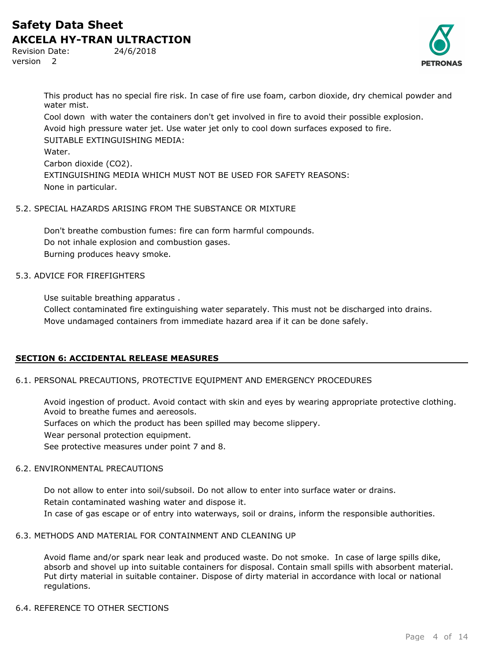Revision Date: 24/6/2018 version 2



This product has no special fire risk. In case of fire use foam, carbon dioxide, dry chemical powder and water mist.

Cool down with water the containers don't get involved in fire to avoid their possible explosion. Avoid high pressure water jet. Use water jet only to cool down surfaces exposed to fire. SUITABLE EXTINGUISHING MEDIA: Water. Carbon dioxide (CO2). EXTINGUISHING MEDIA WHICH MUST NOT BE USED FOR SAFETY REASONS: None in particular.

## 5.2. SPECIAL HAZARDS ARISING FROM THE SUBSTANCE OR MIXTURE

Don't breathe combustion fumes: fire can form harmful compounds. Do not inhale explosion and combustion gases. Burning produces heavy smoke.

## 5.3. ADVICE FOR FIREFIGHTERS

Use suitable breathing apparatus .

Collect contaminated fire extinguishing water separately. This must not be discharged into drains. Move undamaged containers from immediate hazard area if it can be done safely.

## **SECTION 6: ACCIDENTAL RELEASE MEASURES**

### 6.1. PERSONAL PRECAUTIONS, PROTECTIVE EQUIPMENT AND EMERGENCY PROCEDURES

Avoid ingestion of product. Avoid contact with skin and eyes by wearing appropriate protective clothing. Avoid to breathe fumes and aereosols.

Surfaces on which the product has been spilled may become slippery.

Wear personal protection equipment.

See protective measures under point 7 and 8.

## 6.2. ENVIRONMENTAL PRECAUTIONS

Do not allow to enter into soil/subsoil. Do not allow to enter into surface water or drains. Retain contaminated washing water and dispose it. In case of gas escape or of entry into waterways, soil or drains, inform the responsible authorities.

### 6.3. METHODS AND MATERIAL FOR CONTAINMENT AND CLEANING UP

Avoid flame and/or spark near leak and produced waste. Do not smoke. In case of large spills dike, absorb and shovel up into suitable containers for disposal. Contain small spills with absorbent material. Put dirty material in suitable container. Dispose of dirty material in accordance with local or national regulations.

## 6.4. REFERENCE TO OTHER SECTIONS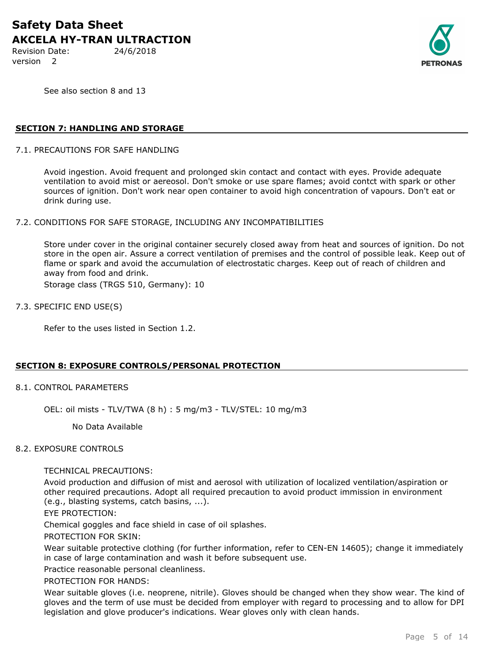Revision Date: 24/6/2018 version 2



See also section 8 and 13

## **SECTION 7: HANDLING AND STORAGE**

7.1. PRECAUTIONS FOR SAFE HANDLING

Avoid ingestion. Avoid frequent and prolonged skin contact and contact with eyes. Provide adequate ventilation to avoid mist or aereosol. Don't smoke or use spare flames; avoid contct with spark or other sources of ignition. Don't work near open container to avoid high concentration of vapours. Don't eat or drink during use.

#### 7.2. CONDITIONS FOR SAFE STORAGE, INCLUDING ANY INCOMPATIBILITIES

Store under cover in the original container securely closed away from heat and sources of ignition. Do not store in the open air. Assure a correct ventilation of premises and the control of possible leak. Keep out of flame or spark and avoid the accumulation of electrostatic charges. Keep out of reach of children and away from food and drink.

Storage class (TRGS 510, Germany): 10

#### 7.3. SPECIFIC END USE(S)

Refer to the uses listed in Section 1.2.

### **SECTION 8: EXPOSURE CONTROLS/PERSONAL PROTECTION**

#### 8.1. CONTROL PARAMETERS

OEL: oil mists - TLV/TWA (8 h) : 5 mg/m3 - TLV/STEL: 10 mg/m3

No Data Available

#### 8.2. EXPOSURE CONTROLS

#### TECHNICAL PRECAUTIONS:

Avoid production and diffusion of mist and aerosol with utilization of localized ventilation/aspiration or other required precautions. Adopt all required precaution to avoid product immission in environment (e.g., blasting systems, catch basins, ...).

EYE PROTECTION:

Chemical goggles and face shield in case of oil splashes.

PROTECTION FOR SKIN:

Wear suitable protective clothing (for further information, refer to CEN-EN 14605); change it immediately in case of large contamination and wash it before subsequent use.

Practice reasonable personal cleanliness.

PROTECTION FOR HANDS:

Wear suitable gloves (i.e. neoprene, nitrile). Gloves should be changed when they show wear. The kind of gloves and the term of use must be decided from employer with regard to processing and to allow for DPI legislation and glove producer's indications. Wear gloves only with clean hands.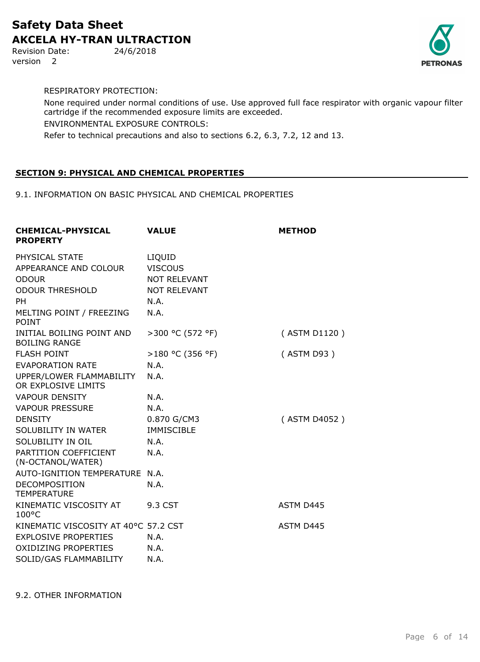Revision Date: 24/6/2018 version 2



RESPIRATORY PROTECTION:

None required under normal conditions of use. Use approved full face respirator with organic vapour filter cartridge if the recommended exposure limits are exceeded. ENVIRONMENTAL EXPOSURE CONTROLS: Refer to technical precautions and also to sections 6.2, 6.3, 7.2, 12 and 13.

## **SECTION 9: PHYSICAL AND CHEMICAL PROPERTIES**

9.1. INFORMATION ON BASIC PHYSICAL AND CHEMICAL PROPERTIES

| <b>CHEMICAL-PHYSICAL</b><br><b>PROPERTY</b>                                                                                | <b>VALUE</b>                                                                           | <b>METHOD</b> |
|----------------------------------------------------------------------------------------------------------------------------|----------------------------------------------------------------------------------------|---------------|
| PHYSICAL STATE<br>APPEARANCE AND COLOUR<br><b>ODOUR</b><br><b>ODOUR THRESHOLD</b><br><b>PH</b><br>MELTING POINT / FREEZING | LIQUID<br><b>VISCOUS</b><br><b>NOT RELEVANT</b><br><b>NOT RELEVANT</b><br>N.A.<br>N.A. |               |
| <b>POINT</b>                                                                                                               |                                                                                        |               |
| INITIAL BOILING POINT AND<br><b>BOILING RANGE</b>                                                                          | >300 °C (572 °F)                                                                       | (ASTM D1120)  |
| <b>FLASH POINT</b>                                                                                                         | >180 °C (356 °F)                                                                       | (ASTM D93)    |
| <b>EVAPORATION RATE</b>                                                                                                    | N.A.                                                                                   |               |
| UPPER/LOWER FLAMMABILITY<br>OR EXPLOSIVE LIMITS                                                                            | N.A.                                                                                   |               |
| <b>VAPOUR DENSITY</b>                                                                                                      | N.A.                                                                                   |               |
| <b>VAPOUR PRESSURE</b>                                                                                                     | N.A.                                                                                   |               |
| <b>DENSITY</b>                                                                                                             | 0.870 G/CM3                                                                            | (ASTM D4052)  |
| SOLUBILITY IN WATER                                                                                                        | <b>IMMISCIBLE</b>                                                                      |               |
| SOLUBILITY IN OIL                                                                                                          | N.A.                                                                                   |               |
| PARTITION COEFFICIENT<br>(N-OCTANOL/WATER)                                                                                 | N.A.                                                                                   |               |
| AUTO-IGNITION TEMPERATURE N.A.                                                                                             |                                                                                        |               |
| <b>DECOMPOSITION</b><br><b>TEMPERATURE</b>                                                                                 | N.A.                                                                                   |               |
| KINEMATIC VISCOSITY AT<br>$100^{\circ}$ C                                                                                  | 9.3 CST                                                                                | ASTM D445     |
| KINEMATIC VISCOSITY AT 40°C 57.2 CST                                                                                       |                                                                                        | ASTM D445     |
| <b>EXPLOSIVE PROPERTIES</b>                                                                                                | N.A.                                                                                   |               |
| <b>OXIDIZING PROPERTIES</b>                                                                                                | N.A.                                                                                   |               |
| SOLID/GAS FLAMMABILITY                                                                                                     | N.A.                                                                                   |               |

9.2. OTHER INFORMATION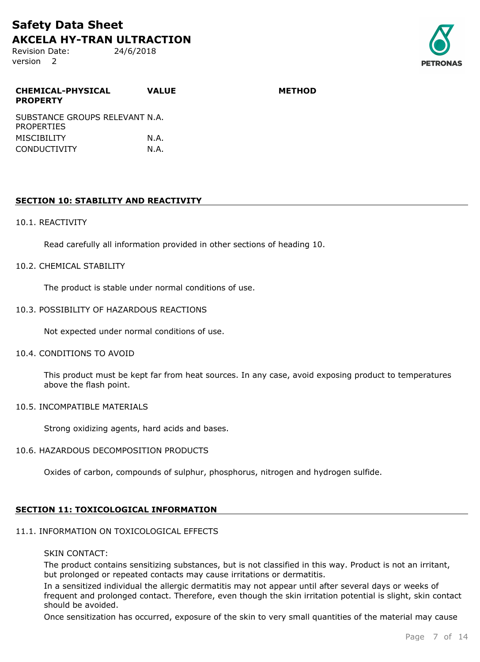Revision Date: 24/6/2018 version 2



| <b>CHEMICAL-PHYSICAL</b><br><b>PROPERTY</b>         | <b>VALUE</b> | <b>METHOD</b> |
|-----------------------------------------------------|--------------|---------------|
| SUBSTANCE GROUPS RELEVANT N.A.<br><b>PROPERTIES</b> |              |               |
| <b>MISCIBILITY</b>                                  | N.A.         |               |
| <b>CONDUCTIVITY</b>                                 | N.A.         |               |

## **SECTION 10: STABILITY AND REACTIVITY**

#### 10.1. REACTIVITY

Read carefully all information provided in other sections of heading 10.

#### 10.2. CHEMICAL STABILITY

The product is stable under normal conditions of use.

#### 10.3. POSSIBILITY OF HAZARDOUS REACTIONS

Not expected under normal conditions of use.

#### 10.4. CONDITIONS TO AVOID

This product must be kept far from heat sources. In any case, avoid exposing product to temperatures above the flash point.

#### 10.5. INCOMPATIBLE MATERIALS

Strong oxidizing agents, hard acids and bases.

### 10.6. HAZARDOUS DECOMPOSITION PRODUCTS

Oxides of carbon, compounds of sulphur, phosphorus, nitrogen and hydrogen sulfide.

### **SECTION 11: TOXICOLOGICAL INFORMATION**

## 11.1. INFORMATION ON TOXICOLOGICAL EFFECTS

## SKIN CONTACT:

The product contains sensitizing substances, but is not classified in this way. Product is not an irritant, but prolonged or repeated contacts may cause irritations or dermatitis.

In a sensitized individual the allergic dermatitis may not appear until after several days or weeks of frequent and prolonged contact. Therefore, even though the skin irritation potential is slight, skin contact should be avoided.

Once sensitization has occurred, exposure of the skin to very small quantities of the material may cause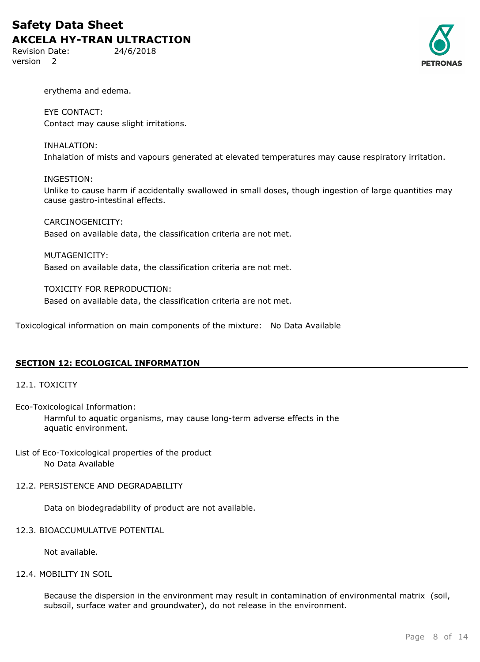Revision Date: 24/6/2018 version 2



erythema and edema.

EYE CONTACT: Contact may cause slight irritations.

INHALATION: Inhalation of mists and vapours generated at elevated temperatures may cause respiratory irritation.

### INGESTION:

Unlike to cause harm if accidentally swallowed in small doses, though ingestion of large quantities may cause gastro-intestinal effects.

CARCINOGENICITY: Based on available data, the classification criteria are not met.

MUTAGENICITY: Based on available data, the classification criteria are not met.

TOXICITY FOR REPRODUCTION: Based on available data, the classification criteria are not met.

Toxicological information on main components of the mixture: No Data Available

### **SECTION 12: ECOLOGICAL INFORMATION**

### 12.1. TOXICITY

Eco-Toxicological Information:

Harmful to aquatic organisms, may cause long-term adverse effects in the aquatic environment.

List of Eco-Toxicological properties of the product No Data Available

#### 12.2. PERSISTENCE AND DEGRADABILITY

Data on biodegradability of product are not available.

## 12.3. BIOACCUMULATIVE POTENTIAL

Not available.

#### 12.4. MOBILITY IN SOIL

Because the dispersion in the environment may result in contamination of environmental matrix (soil, subsoil, surface water and groundwater), do not release in the environment.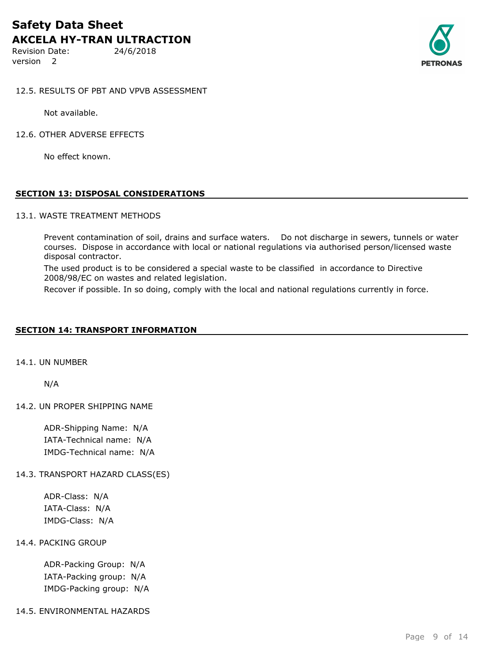Revision Date: 24/6/2018 version 2



### 12.5. RESULTS OF PBT AND VPVB ASSESSMENT

Not available.

12.6. OTHER ADVERSE EFFECTS

No effect known.

### **SECTION 13: DISPOSAL CONSIDERATIONS**

#### 13.1. WASTE TREATMENT METHODS

Prevent contamination of soil, drains and surface waters. Do not discharge in sewers, tunnels or water courses. Dispose in accordance with local or national regulations via authorised person/licensed waste disposal contractor.

The used product is to be considered a special waste to be classified in accordance to Directive 2008/98/EC on wastes and related legislation.

Recover if possible. In so doing, comply with the local and national regulations currently in force.

#### **SECTION 14: TRANSPORT INFORMATION**

14.1. UN NUMBER

N/A

14.2. UN PROPER SHIPPING NAME

ADR-Shipping Name: N/A IATA-Technical name: N/A IMDG-Technical name: N/A

#### 14.3. TRANSPORT HAZARD CLASS(ES)

ADR-Class: N/A IATA-Class: N/A IMDG-Class: N/A

#### 14.4. PACKING GROUP

ADR-Packing Group: N/A IATA-Packing group: N/A IMDG-Packing group: N/A

14.5. ENVIRONMENTAL HAZARDS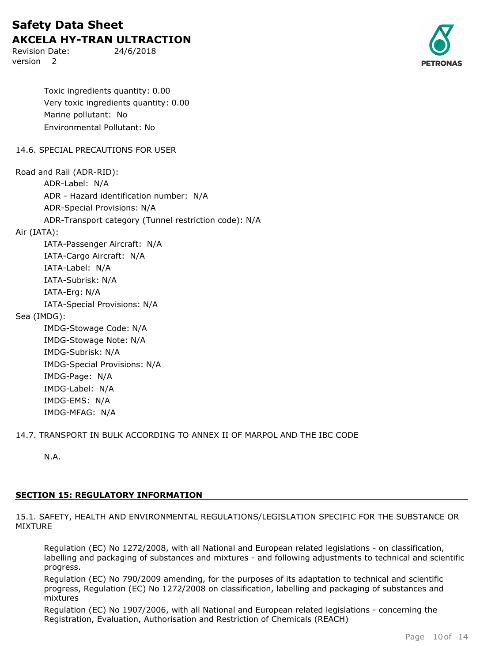Revision Date: 24/6/2018 version 2



Toxic ingredients quantity: 0.00 Very toxic ingredients quantity: 0.00 Marine pollutant: No Environmental Pollutant: No

14.6. SPECIAL PRECAUTIONS FOR USER

Road and Rail (ADR-RID): ADR-Label: N/A ADR - Hazard identification number: N/A ADR-Special Provisions: N/A ADR-Transport category (Tunnel restriction code): N/A Air (IATA): IATA-Passenger Aircraft: N/A IATA-Cargo Aircraft: N/A IATA-Label: N/A IATA-Subrisk: N/A IATA-Erg: N/A IATA-Special Provisions: N/A Sea (IMDG): IMDG-Stowage Code: N/A IMDG-Stowage Note: N/A IMDG-Subrisk: N/A IMDG-Special Provisions: N/A IMDG-Page: N/A IMDG-Label: N/A IMDG-EMS: N/A

14.7. TRANSPORT IN BULK ACCORDING TO ANNEX II OF MARPOL AND THE IBC CODE

N.A.

IMDG-MFAG: N/A

## **SECTION 15: REGULATORY INFORMATION**

15.1. SAFETY, HEALTH AND ENVIRONMENTAL REGULATIONS/LEGISLATION SPECIFIC FOR THE SUBSTANCE OR MIXTURE

Regulation (EC) No 1272/2008, with all National and European related legislations - on classification, labelling and packaging of substances and mixtures - and following adjustments to technical and scientific progress.

Regulation (EC) No 790/2009 amending, for the purposes of its adaptation to technical and scientific progress, Regulation (EC) No 1272/2008 on classification, labelling and packaging of substances and mixtures

Regulation (EC) No 1907/2006, with all National and European related legislations - concerning the Registration, Evaluation, Authorisation and Restriction of Chemicals (REACH)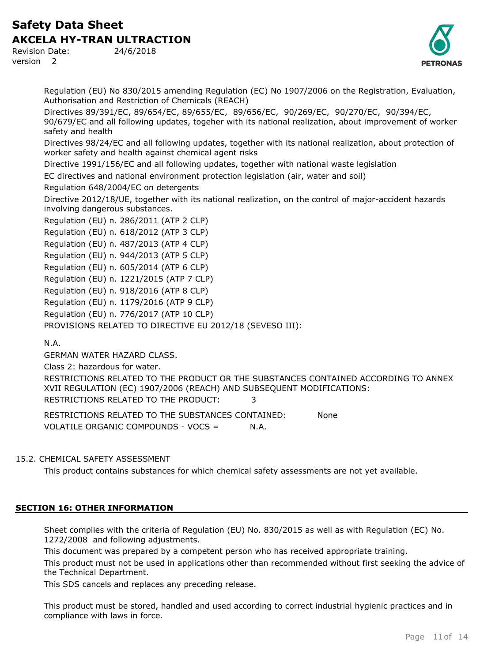Revision Date: 24/6/2018 version 2



Regulation (EU) No 830/2015 amending Regulation (EC) No 1907/2006 on the Registration, Evaluation, Authorisation and Restriction of Chemicals (REACH)

Directives 89/391/EC, 89/654/EC, 89/655/EC, 89/656/EC, 90/269/EC, 90/270/EC, 90/394/EC, 90/679/EC and all following updates, togeher with its national realization, about improvement of worker safety and health

Directives 98/24/EC and all following updates, together with its national realization, about protection of worker safety and health against chemical agent risks

Directive 1991/156/EC and all following updates, together with national waste legislation

EC directives and national environment protection legislation (air, water and soil)

Regulation 648/2004/EC on detergents

Directive 2012/18/UE, together with its national realization, on the control of major-accident hazards involving dangerous substances.

Regulation (EU) n. 286/2011 (ATP 2 CLP) Regulation (EU) n. 618/2012 (ATP 3 CLP) Regulation (EU) n. 487/2013 (ATP 4 CLP) Regulation (EU) n. 944/2013 (ATP 5 CLP) Regulation (EU) n. 605/2014 (ATP 6 CLP) Regulation (EU) n. 1221/2015 (ATP 7 CLP) Regulation (EU) n. 918/2016 (ATP 8 CLP) Regulation (EU) n. 1179/2016 (ATP 9 CLP) Regulation (EU) n. 776/2017 (ATP 10 CLP) PROVISIONS RELATED TO DIRECTIVE EU 2012/18 (SEVESO III):

## N.A.

GERMAN WATER HAZARD CLASS.

Class 2: hazardous for water.

RESTRICTIONS RELATED TO THE PRODUCT OR THE SUBSTANCES CONTAINED ACCORDING TO ANNEX XVII REGULATION (EC) 1907/2006 (REACH) AND SUBSEQUENT MODIFICATIONS: RESTRICTIONS RELATED TO THE PRODUCT: 3

RESTRICTIONS RELATED TO THE SUBSTANCES CONTAINED: None VOLATILE ORGANIC COMPOUNDS - VOCS = N.A.

## 15.2. CHEMICAL SAFETY ASSESSMENT

This product contains substances for which chemical safety assessments are not yet available.

## **SECTION 16: OTHER INFORMATION**

Sheet complies with the criteria of Regulation (EU) No. 830/2015 as well as with Regulation (EC) No. 1272/2008 and following adjustments.

This document was prepared by a competent person who has received appropriate training.

This product must not be used in applications other than recommended without first seeking the advice of the Technical Department.

This SDS cancels and replaces any preceding release.

This product must be stored, handled and used according to correct industrial hygienic practices and in compliance with laws in force.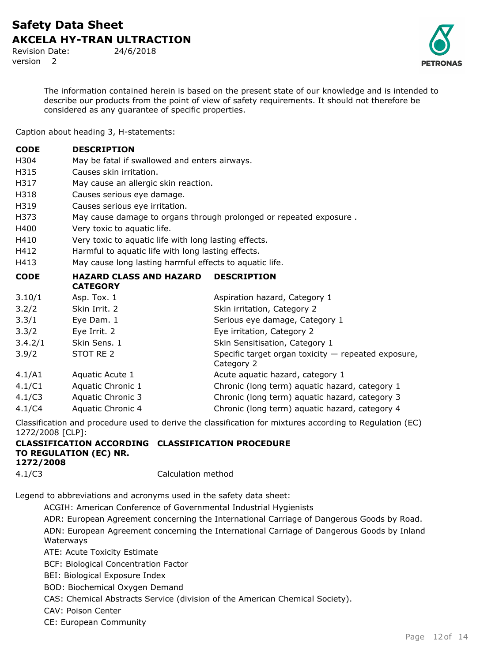Revision Date: 24/6/2018 version 2

The information contained herein is based on the present state of our knowledge and is intended to describe our products from the point of view of safety requirements. It should not therefore be considered as any guarantee of specific properties.

Caption about heading 3, H-statements:

| <b>CODE</b>         | <b>DESCRIPTION</b>                                      |                                                                                                                                                                                                                                                                                                                                                                                                                                                              |  |  |
|---------------------|---------------------------------------------------------|--------------------------------------------------------------------------------------------------------------------------------------------------------------------------------------------------------------------------------------------------------------------------------------------------------------------------------------------------------------------------------------------------------------------------------------------------------------|--|--|
| H304                | May be fatal if swallowed and enters airways.           |                                                                                                                                                                                                                                                                                                                                                                                                                                                              |  |  |
| H315                | Causes skin irritation.                                 |                                                                                                                                                                                                                                                                                                                                                                                                                                                              |  |  |
| H317                | May cause an allergic skin reaction.                    |                                                                                                                                                                                                                                                                                                                                                                                                                                                              |  |  |
| H318                | Causes serious eye damage.                              |                                                                                                                                                                                                                                                                                                                                                                                                                                                              |  |  |
| H319                | Causes serious eye irritation.                          |                                                                                                                                                                                                                                                                                                                                                                                                                                                              |  |  |
| H373                |                                                         | May cause damage to organs through prolonged or repeated exposure.                                                                                                                                                                                                                                                                                                                                                                                           |  |  |
| H400                | Very toxic to aquatic life.                             |                                                                                                                                                                                                                                                                                                                                                                                                                                                              |  |  |
| H410                | Very toxic to aquatic life with long lasting effects.   |                                                                                                                                                                                                                                                                                                                                                                                                                                                              |  |  |
| H412                | Harmful to aquatic life with long lasting effects.      |                                                                                                                                                                                                                                                                                                                                                                                                                                                              |  |  |
| H413                | May cause long lasting harmful effects to aquatic life. |                                                                                                                                                                                                                                                                                                                                                                                                                                                              |  |  |
| <b>CODE</b>         | <b>HAZARD CLASS AND HAZARD</b><br><b>CATEGORY</b>       | <b>DESCRIPTION</b>                                                                                                                                                                                                                                                                                                                                                                                                                                           |  |  |
| 3.10/1              | Asp. Tox. 1                                             | Aspiration hazard, Category 1                                                                                                                                                                                                                                                                                                                                                                                                                                |  |  |
| 3.2/2               | Skin Irrit. 2                                           | Skin irritation, Category 2                                                                                                                                                                                                                                                                                                                                                                                                                                  |  |  |
| 3.3/1               | Eye Dam. 1                                              | Serious eye damage, Category 1                                                                                                                                                                                                                                                                                                                                                                                                                               |  |  |
| 3.3/2               | Eye Irrit. 2                                            | Eye irritation, Category 2                                                                                                                                                                                                                                                                                                                                                                                                                                   |  |  |
| 3.4.2/1             | Skin Sens. 1                                            | Skin Sensitisation, Category 1                                                                                                                                                                                                                                                                                                                                                                                                                               |  |  |
| 3.9/2               | STOT RE 2                                               | Specific target organ toxicity $-$ repeated exposure,<br>Category 2                                                                                                                                                                                                                                                                                                                                                                                          |  |  |
| 4.1/A1              | Aquatic Acute 1                                         | Acute aquatic hazard, category 1                                                                                                                                                                                                                                                                                                                                                                                                                             |  |  |
| 4.1/C1              | Aquatic Chronic 1                                       | Chronic (long term) aquatic hazard, category 1                                                                                                                                                                                                                                                                                                                                                                                                               |  |  |
| 4.1/C3              | Aquatic Chronic 3                                       | Chronic (long term) aquatic hazard, category 3                                                                                                                                                                                                                                                                                                                                                                                                               |  |  |
| 4.1/C4              | Aquatic Chronic 4                                       | Chronic (long term) aquatic hazard, category 4                                                                                                                                                                                                                                                                                                                                                                                                               |  |  |
| $-1$ $-1$ $-1$ $-1$ |                                                         | $\mathcal{L} = \mathcal{L} = \mathcal{L} = \mathcal{L} = \mathcal{L} = \mathcal{L} = \mathcal{L} = \mathcal{L} = \mathcal{L} = \mathcal{L} = \mathcal{L} = \mathcal{L} = \mathcal{L} = \mathcal{L} = \mathcal{L} = \mathcal{L} = \mathcal{L} = \mathcal{L} = \mathcal{L} = \mathcal{L} = \mathcal{L} = \mathcal{L} = \mathcal{L} = \mathcal{L} = \mathcal{L} = \mathcal{L} = \mathcal{L} = \mathcal{L} = \mathcal{L} = \mathcal{L} = \mathcal{L} = \mathcal$ |  |  |

Classification and procedure used to derive the classification for mixtures according to Regulation (EC) 1272/2008 [CLP]:

#### **CLASSIFICATION ACCORDING CLASSIFICATION PROCEDURE TO REGULATION (EC) NR. 1272/2008** 4.1/C3 Calculation method

Legend to abbreviations and acronyms used in the safety data sheet:

ACGIH: American Conference of Governmental Industrial Hygienists

ADR: European Agreement concerning the International Carriage of Dangerous Goods by Road.

ADN: European Agreement concerning the International Carriage of Dangerous Goods by Inland Waterways

ATE: Acute Toxicity Estimate

BCF: Biological Concentration Factor

BEI: Biological Exposure Index

BOD: Biochemical Oxygen Demand

CAS: Chemical Abstracts Service (division of the American Chemical Society).

CAV: Poison Center

CE: European Community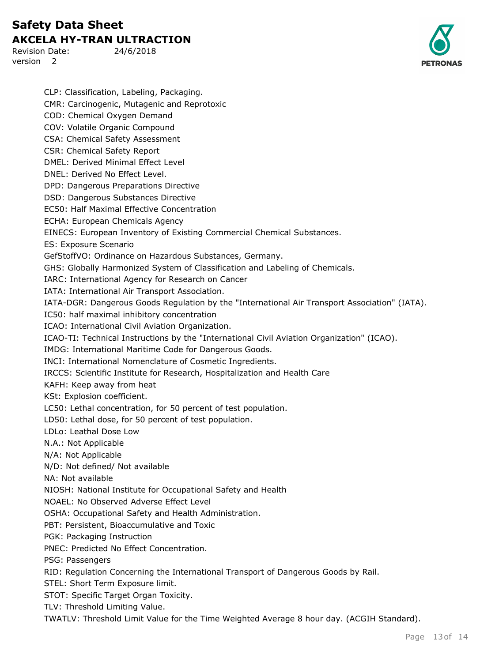Revision Date: 24/6/2018 version 2



CLP: Classification, Labeling, Packaging. CMR: Carcinogenic, Mutagenic and Reprotoxic COD: Chemical Oxygen Demand COV: Volatile Organic Compound CSA: Chemical Safety Assessment CSR: Chemical Safety Report DMEL: Derived Minimal Effect Level DNEL: Derived No Effect Level. DPD: Dangerous Preparations Directive DSD: Dangerous Substances Directive EC50: Half Maximal Effective Concentration ECHA: European Chemicals Agency EINECS: European Inventory of Existing Commercial Chemical Substances. ES: Exposure Scenario GefStoffVO: Ordinance on Hazardous Substances, Germany. GHS: Globally Harmonized System of Classification and Labeling of Chemicals. IARC: International Agency for Research on Cancer IATA: International Air Transport Association. IATA-DGR: Dangerous Goods Regulation by the "International Air Transport Association" (IATA). IC50: half maximal inhibitory concentration ICAO: International Civil Aviation Organization. ICAO-TI: Technical Instructions by the "International Civil Aviation Organization" (ICAO). IMDG: International Maritime Code for Dangerous Goods. INCI: International Nomenclature of Cosmetic Ingredients. IRCCS: Scientific Institute for Research, Hospitalization and Health Care KAFH: Keep away from heat KSt: Explosion coefficient. LC50: Lethal concentration, for 50 percent of test population. LD50: Lethal dose, for 50 percent of test population. LDLo: Leathal Dose Low N.A.: Not Applicable N/A: Not Applicable N/D: Not defined/ Not available NA: Not available NIOSH: National Institute for Occupational Safety and Health NOAEL: No Observed Adverse Effect Level OSHA: Occupational Safety and Health Administration. PBT: Persistent, Bioaccumulative and Toxic PGK: Packaging Instruction PNEC: Predicted No Effect Concentration. PSG: Passengers RID: Regulation Concerning the International Transport of Dangerous Goods by Rail. STEL: Short Term Exposure limit. STOT: Specific Target Organ Toxicity. TLV: Threshold Limiting Value. TWATLV: Threshold Limit Value for the Time Weighted Average 8 hour day. (ACGIH Standard).